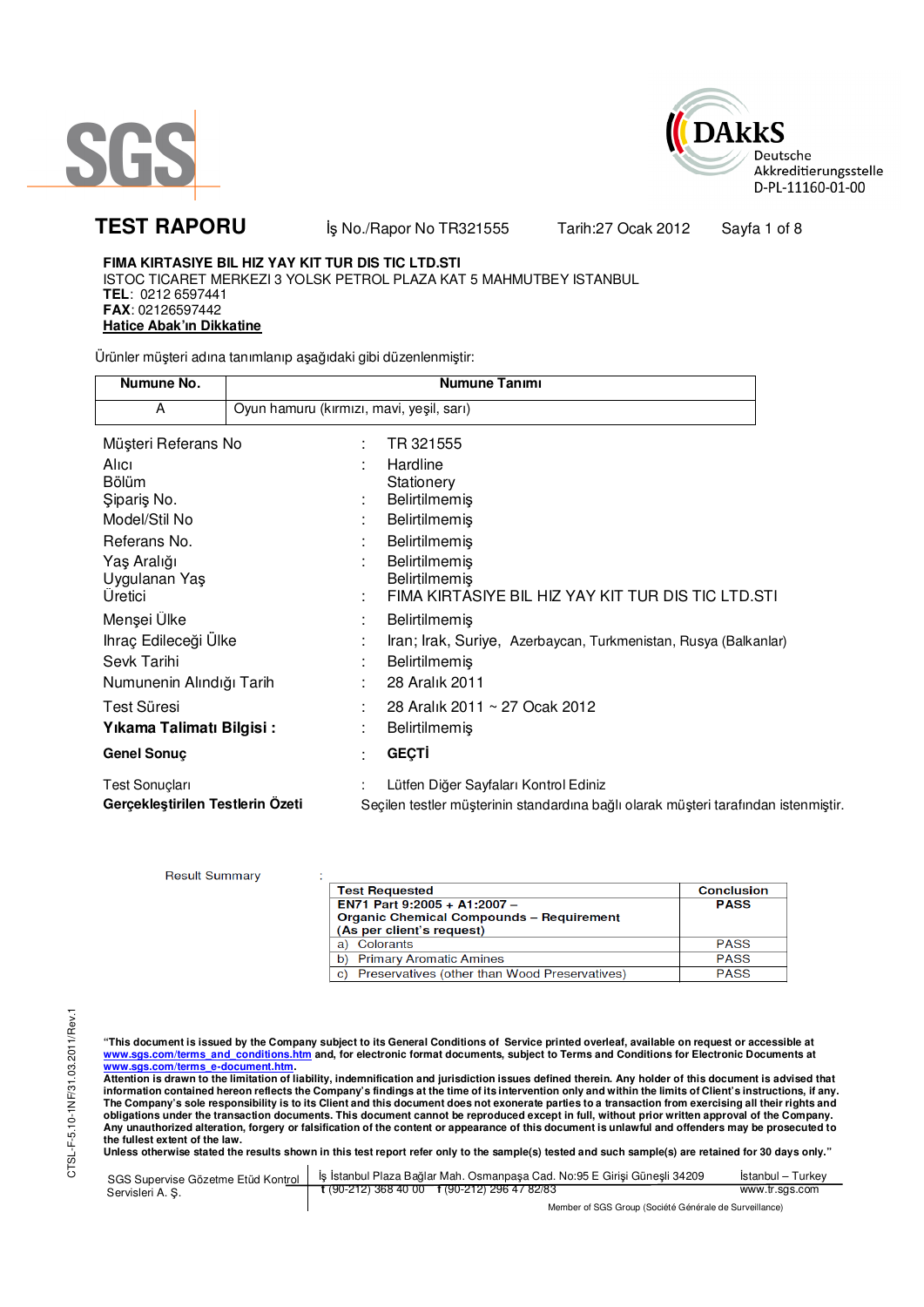



# **TEST RAPORU** iş No./Rapor No TR321555 Tarih:27 Ocak 2012 Sayfa 1 of 8

**Result Summary** 

# **FIMA KIRTASIYE BIL HIZ YAY KIT TUR DIS TIC LTD.STI**

ISTOC TICARET MERKEZI 3 YOLSK PETROL PLAZA KAT 5 MAHMUTBEY ISTANBUL **TEL**: 0212 6597441 **FAX**: 02126597442 **Hatice Abak'ın Dikkatine** 

Ürünler müşteri adına tanımlanıp aşağıdaki gibi düzenlenmiştir:

| Numune No.                       |                                          | Numune Tanımı                                                                       |
|----------------------------------|------------------------------------------|-------------------------------------------------------------------------------------|
| A                                | Oyun hamuru (kırmızı, mavi, yeşil, sarı) |                                                                                     |
| Müşteri Referans No              | ÷                                        | TR 321555                                                                           |
| Alici                            |                                          | Hardline                                                                            |
| Bölüm                            |                                          | Stationery                                                                          |
| Siparis No.                      |                                          | Belirtilmemiş                                                                       |
| Model/Stil No                    |                                          | <b>Belirtilmemiş</b>                                                                |
| Referans No.                     |                                          | Belirtilmemiş                                                                       |
| Yaş Aralığı                      |                                          | Belirtilmemiş                                                                       |
| Uygulanan Yaş                    |                                          | <b>Belirtilmemis</b>                                                                |
| Üretici                          |                                          | FIMA KIRTASIYE BIL HIZ YAY KIT TUR DIS TIC LTD.STI                                  |
| Menşei Ülke                      |                                          | <b>Belirtilmemiş</b>                                                                |
| Ihraç Edileceği Ülke             |                                          | Iran; Irak, Suriye, Azerbaycan, Turkmenistan, Rusya (Balkanlar)                     |
| Sevk Tarihi                      |                                          | Belirtilmemiş                                                                       |
| Numunenin Alındığı Tarih         |                                          | 28 Aralık 2011                                                                      |
| Test Süresi                      |                                          | 28 Aralık 2011 ~ 27 Ocak 2012                                                       |
| Yıkama Talimatı Bilgisi:         |                                          | <b>Belirtilmemiş</b>                                                                |
| <b>Genel Sonuç</b>               |                                          | <b>GEÇTİ</b>                                                                        |
| Test Sonuçları                   |                                          | Lütfen Diğer Sayfaları Kontrol Ediniz                                               |
| Gerçekleştirilen Testlerin Özeti |                                          | Seçilen testler müşterinin standardına bağlı olarak müşteri tarafından istenmiştir. |

| <b>Test Requested</b>                                                        | <b>Conclusion</b> |
|------------------------------------------------------------------------------|-------------------|
| EN71 Part 9:2005 + A1:2007 -                                                 | <b>PASS</b>       |
| <b>Organic Chemical Compounds - Requirement</b><br>(As per client's request) |                   |
| Colorants                                                                    | <b>PASS</b>       |
| a)                                                                           |                   |
| <b>Primary Aromatic Amines</b><br>b.                                         | <b>PASS</b>       |
| Preservatives (other than Wood Preservatives)<br>C)                          | <b>PASS</b>       |

"This document is issued by the Company subject to its General Conditions of Service printed overleaf, available on request or accessible at<br>www.sgs.com/terms\_and\_conditions.htm\_and, for electronic format documents, subjec

<mark>www.sgs.com/terms\_e-document.htm.</mark><br>Attention is drawn to the limitation of liability, indemnification and jurisdiction issues defined therein. Any holder of this document is advised that information contained hereon reflects the Company's findings at the time of its intervention only and within the limits of Client's instructions, if any.<br>The Company's sole responsibility is to its Client and this document **obligations under the transaction documents. This document cannot be reproduced except in full, without prior written approval of the Company. Any unauthorized alteration, forgery or falsification of the content or appearance of this document is unlawful and offenders may be prosecuted to the fullest extent of the law.** 

| SGS Supervise Gözetme Etüd Kontrol I | İs İstanbul Plaza Bağlar Mah. Osmanpasa Cad. No:95 E Girisi Günesli 34209 | Istanbul – Turkev |  |
|--------------------------------------|---------------------------------------------------------------------------|-------------------|--|
| Servisleri A.S.                      | $\frac{1}{2}$ (90-212) 368 40 00 f (90-212) 296 47 82/83                  | www.tr.sgs.com    |  |
|                                      | Member of SGS Group (Société Générale de Surveillance)                    |                   |  |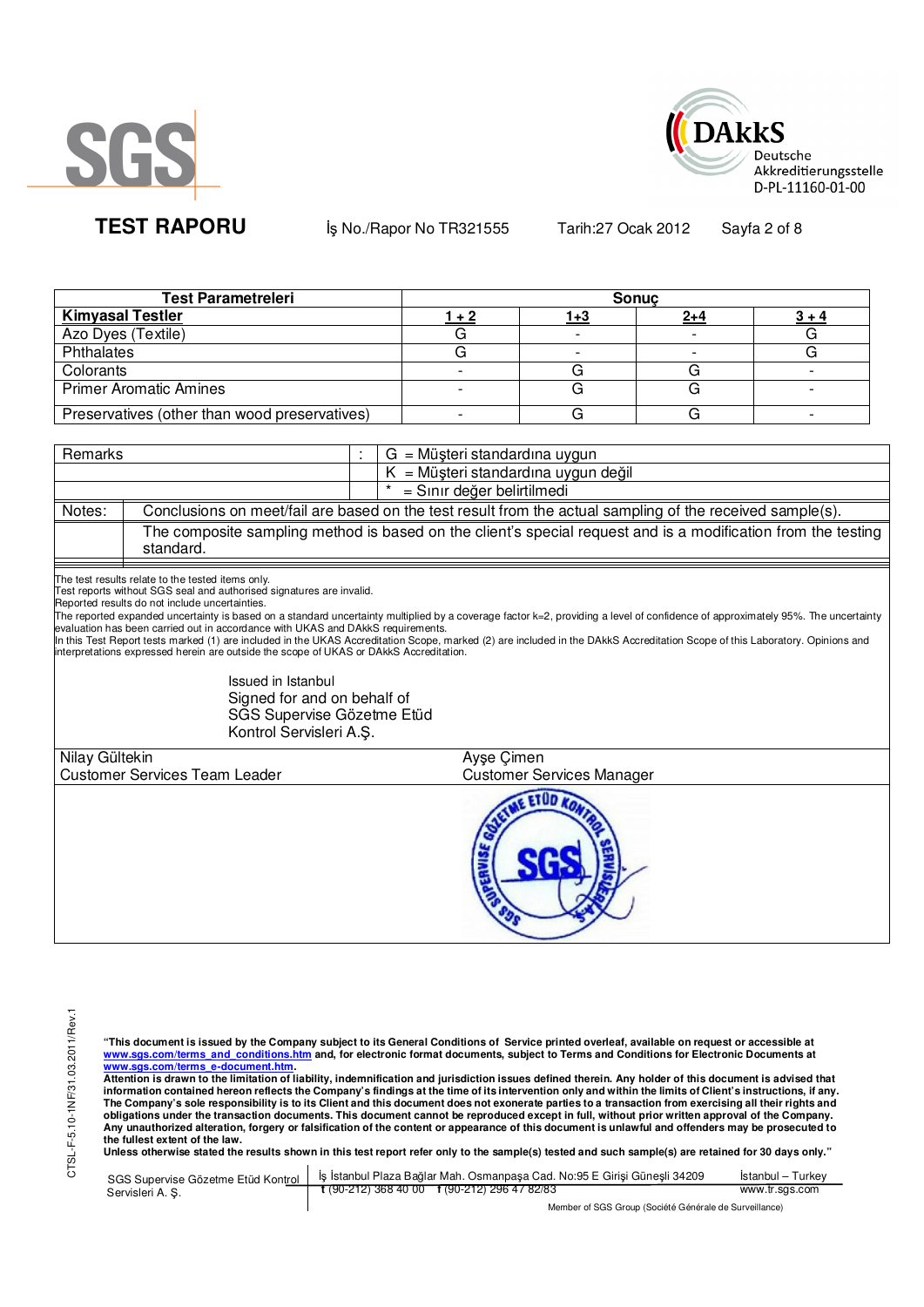



**TEST RAPORU** iş No./Rapor No TR321555 Tarih:27 Ocak 2012 Sayfa 2 of 8

| <b>Test Parametreleri</b>                     | <b>Sonuc</b> |             |         |  |  |  |
|-----------------------------------------------|--------------|-------------|---------|--|--|--|
| <b>Kimyasal Testler</b>                       |              | <u> 1+3</u> | $2 + 4$ |  |  |  |
| Azo Dyes (Textile)                            |              |             |         |  |  |  |
| Phthalates                                    |              |             |         |  |  |  |
| Colorants                                     |              |             |         |  |  |  |
| <b>Primer Aromatic Amines</b>                 |              |             |         |  |  |  |
| Preservatives (other than wood preservatives) |              |             |         |  |  |  |

| Remarks        |                                                                                                                                                                                                                                                                                                                                                                                                                                                                        | $G = M\ddot{\mu}$ şteri standardına uygun                                                                                                                                                                                                                                                                                                                       |
|----------------|------------------------------------------------------------------------------------------------------------------------------------------------------------------------------------------------------------------------------------------------------------------------------------------------------------------------------------------------------------------------------------------------------------------------------------------------------------------------|-----------------------------------------------------------------------------------------------------------------------------------------------------------------------------------------------------------------------------------------------------------------------------------------------------------------------------------------------------------------|
|                |                                                                                                                                                                                                                                                                                                                                                                                                                                                                        | $K = M\ddot{\mu}$ şteri standardına uygun değil                                                                                                                                                                                                                                                                                                                 |
|                |                                                                                                                                                                                                                                                                                                                                                                                                                                                                        | = Sınır değer belirtilmedi                                                                                                                                                                                                                                                                                                                                      |
| Notes:         |                                                                                                                                                                                                                                                                                                                                                                                                                                                                        | Conclusions on meet/fail are based on the test result from the actual sampling of the received sample(s).                                                                                                                                                                                                                                                       |
|                | standard.                                                                                                                                                                                                                                                                                                                                                                                                                                                              | The composite sampling method is based on the client's special request and is a modification from the testing                                                                                                                                                                                                                                                   |
|                | The test results relate to the tested items only.<br>Test reports without SGS seal and authorised signatures are invalid.<br>Reported results do not include uncertainties.<br>evaluation has been carried out in accordance with UKAS and DAkkS requirements.<br>interpretations expressed herein are outside the scope of UKAS or DAKKS Accreditation.<br>Issued in Istanbul<br>Signed for and on behalf of<br>SGS Supervise Gözetme Etüd<br>Kontrol Servisleri A.Ş. | The reported expanded uncertainty is based on a standard uncertainty multiplied by a coverage factor k=2, providing a level of confidence of approximately 95%. The uncertainty<br>In this Test Report tests marked (1) are included in the UKAS Accreditation Scope, marked (2) are included in the DAkkS Accreditation Scope of this Laboratory. Opinions and |
| Nilay Gültekin |                                                                                                                                                                                                                                                                                                                                                                                                                                                                        | Ayse Çimen                                                                                                                                                                                                                                                                                                                                                      |
|                | <b>Customer Services Team Leader</b>                                                                                                                                                                                                                                                                                                                                                                                                                                   | <b>Customer Services Manager</b>                                                                                                                                                                                                                                                                                                                                |
|                |                                                                                                                                                                                                                                                                                                                                                                                                                                                                        | <b>AE ETUD KOL</b><br>ERVISE                                                                                                                                                                                                                                                                                                                                    |

"This document is issued by the Company subject to its General Conditions of Service printed overleaf, available on request or accessible at<br>www.sgs.com/terms\_and\_conditions.htm\_and, for electronic format documents, subjec

<u>www.sgs.com/terms\_e-document.htm.</u><br>Attention is drawn to the limitation of liability, indemnification and jurisdiction issues defined therein. Any holder of this document is advised that<br>information contained hereon refle obligations under the transaction documents. This document cannot be reproduced except in full, without prior written approval of the Company.<br>Any unauthorized alteration, forgery or falsification of the content or appeara

|                 | SGS Supervise Gözetme Etüd Kontrol   İş İstanbul Plaza Bağlar Mah. Osmanpaşa Cad. No:95 E Girişi Güneşli 34209 | Istanbul – Turkev |  |
|-----------------|----------------------------------------------------------------------------------------------------------------|-------------------|--|
| Servisleri A.S. | t (90-212) 368 40 00 f (90-212) 296 47 82/83                                                                   | www.tr.sgs.com    |  |
|                 | Member of SGS Group (Société Générale de Surveillance)                                                         |                   |  |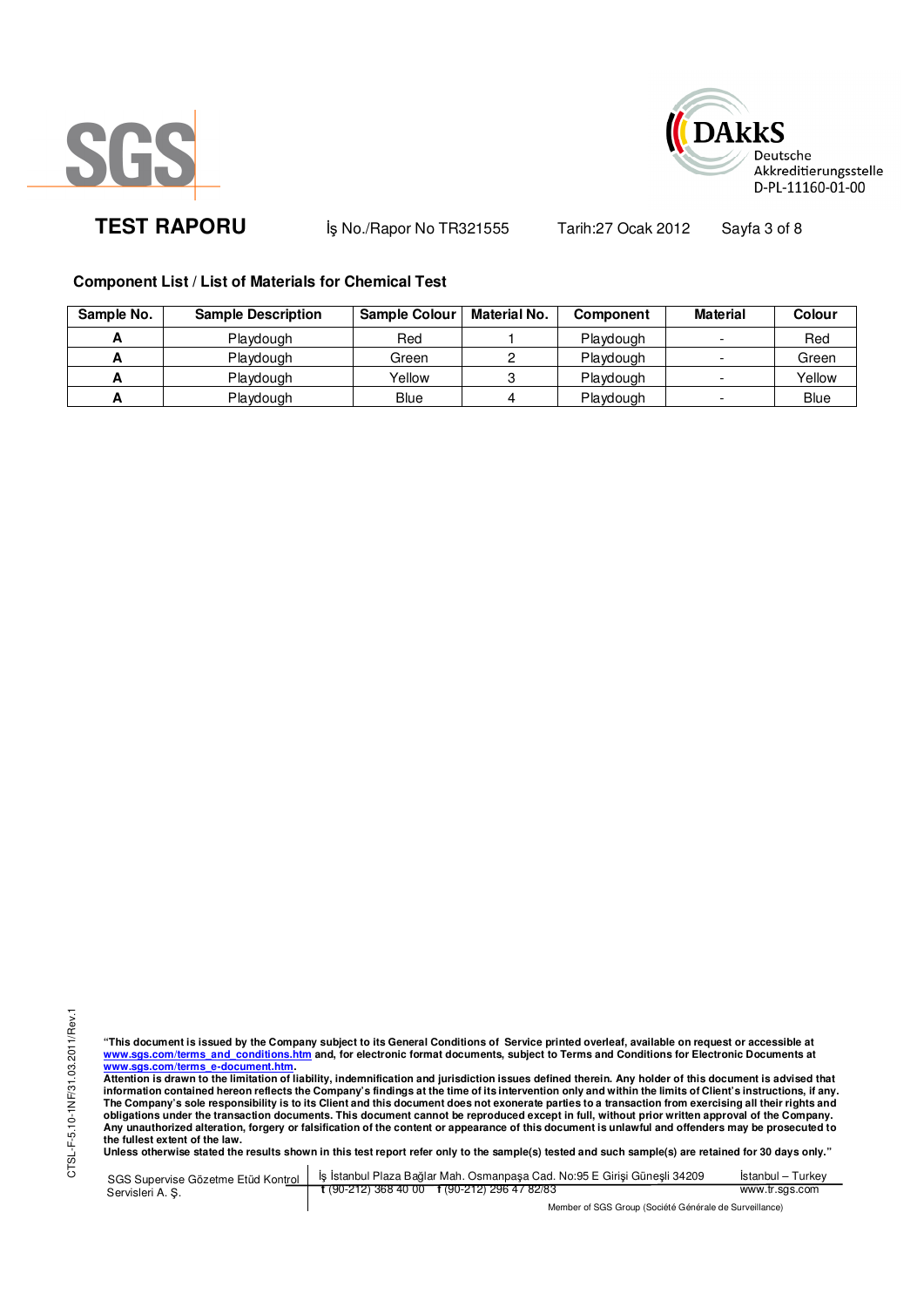



**TEST RAPORU** iş No./Rapor No TR321555 Tarih:27 Ocak 2012 Sayfa 3 of 8

## **Component List / List of Materials for Chemical Test**

| Sample No. | <b>Sample Description</b> | <b>Sample Colour</b> | <b>Material No.</b> | <b>Component</b> | Material | Colour      |
|------------|---------------------------|----------------------|---------------------|------------------|----------|-------------|
|            | Playdough                 | Red                  |                     | Playdough        |          | Red         |
|            | Playdough                 | Green                |                     | Playdough        |          | Green       |
| -          | Playdough                 | Yellow               |                     | Playdough        |          | Yellow      |
|            | Playdough                 | Blue                 |                     | Playdough        |          | <b>Blue</b> |

"This document is issued by the Company subject to its General Conditions of Service printed overleaf, available on request or accessible at<br>www.sgs.com/terms\_and\_conditions.htm\_and, for electronic format documents, subjec

<u>www.sgs.com/terms\_e-document.htm.</u><br>Attention is drawn to the limitation of liability, indemnification and jurisdiction issues defined therein. Any holder of this document is advised that<br>information contained hereon refle obligations under the transaction documents. This document cannot be reproduced except in full, without prior written approval of the Company.<br>Any unauthorized alteration, forgery or falsification of the content or appeara

**Unless otherwise stated the results shown in this test report refer only to the sample(s) tested and such sample(s) are retained for 30 days only."** 

|                  | SGS Supervise Gözetme Etüd Kontrol   İş İstanbul Plaza Bağlar Mah. Osmanpaşa Cad. No:95 E Girişi Güneşli 34209 | Istanbul – Turkev |
|------------------|----------------------------------------------------------------------------------------------------------------|-------------------|
| Servisleri A. S. | $\frac{1}{2}$ (90-212) 368 40 00 f (90-212) 296 47 82/83                                                       | www.tr.sgs.com    |
|                  | Member of SGS Group (Société Générale de Surveillance)                                                         |                   |

Member of SGS Group (Société Générale de Surveillance)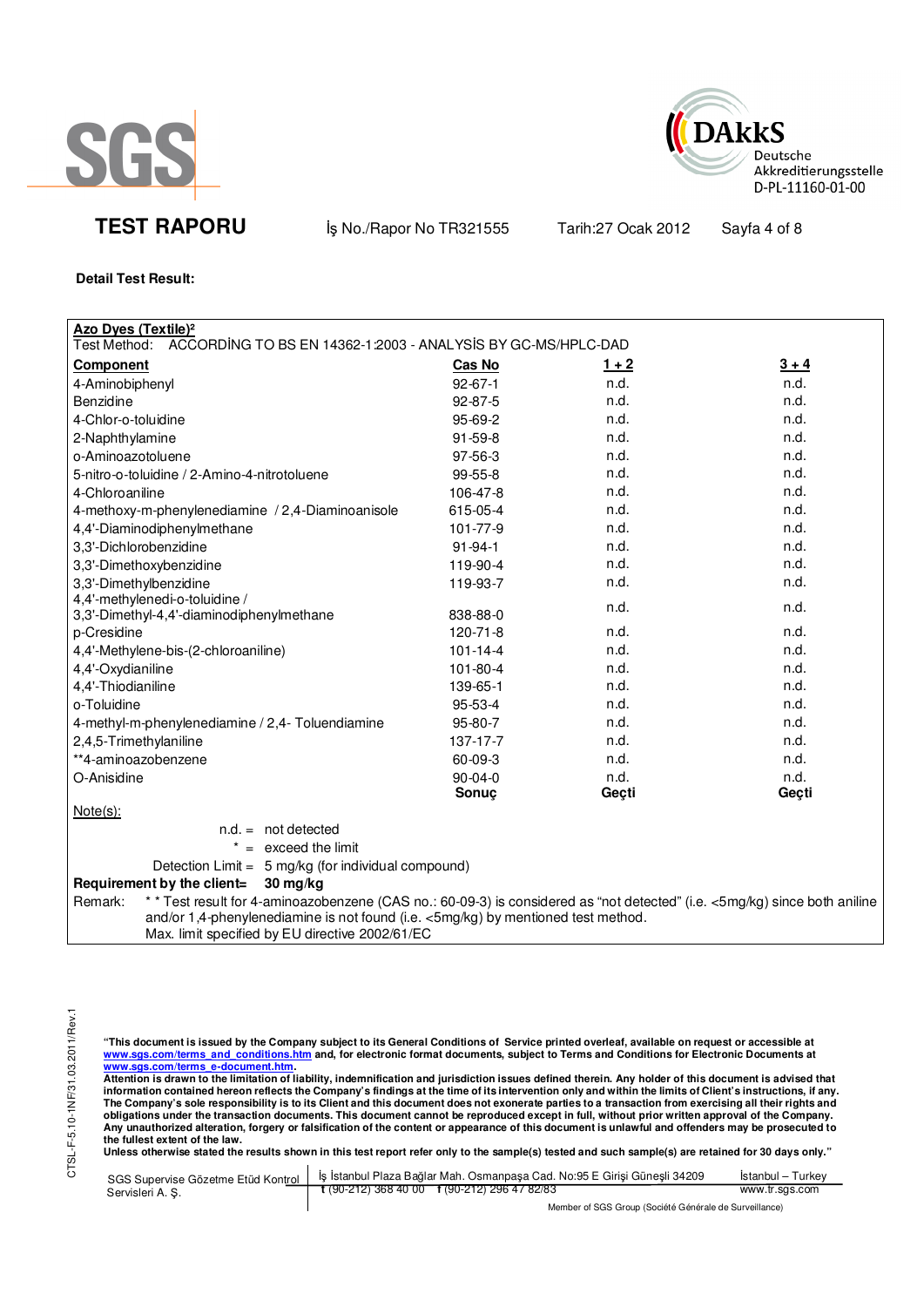



**TEST RAPORU** iş No./Rapor No TR321555 Tarih:27 Ocak 2012 Sayfa 4 of 8

**Detail Test Result:**

| <b>Azo Dyes (Textile)<sup>2</sup></b>                                                                                                                                                                                      |                |         |         |
|----------------------------------------------------------------------------------------------------------------------------------------------------------------------------------------------------------------------------|----------------|---------|---------|
| ACCORDING TO BS EN 14362-1:2003 - ANALYSIS BY GC-MS/HPLC-DAD<br>Test Method:                                                                                                                                               |                |         |         |
| <b>Component</b>                                                                                                                                                                                                           | Cas No         | $1 + 2$ | $3 + 4$ |
| 4-Aminobiphenyl                                                                                                                                                                                                            | $92 - 67 - 1$  | n.d.    | n.d.    |
| Benzidine                                                                                                                                                                                                                  | 92-87-5        | n.d.    | n.d.    |
| 4-Chlor-o-toluidine                                                                                                                                                                                                        | 95-69-2        | n.d.    | n.d.    |
| 2-Naphthylamine                                                                                                                                                                                                            | $91 - 59 - 8$  | n.d.    | n.d.    |
| o-Aminoazotoluene                                                                                                                                                                                                          | 97-56-3        | n.d.    | n.d.    |
| 5-nitro-o-toluidine / 2-Amino-4-nitrotoluene                                                                                                                                                                               | 99-55-8        | n.d.    | n.d.    |
| 4-Chloroaniline                                                                                                                                                                                                            | 106-47-8       | n.d.    | n.d.    |
| 4-methoxy-m-phenylenediamine / 2,4-Diaminoanisole                                                                                                                                                                          | 615-05-4       | n.d.    | n.d.    |
| 4,4'-Diaminodiphenylmethane                                                                                                                                                                                                | 101-77-9       | n.d.    | n.d.    |
| 3,3'-Dichlorobenzidine                                                                                                                                                                                                     | $91 - 94 - 1$  | n.d.    | n.d.    |
| 3,3'-Dimethoxybenzidine                                                                                                                                                                                                    | 119-90-4       | n.d.    | n.d.    |
| 3,3'-Dimethylbenzidine                                                                                                                                                                                                     | 119-93-7       | n.d.    | n.d.    |
| 4,4'-methylenedi-o-toluidine /<br>3,3'-Dimethyl-4,4'-diaminodiphenylmethane                                                                                                                                                | 838-88-0       | n.d.    | n.d.    |
| p-Cresidine                                                                                                                                                                                                                | $120 - 71 - 8$ | n.d.    | n.d.    |
| 4,4'-Methylene-bis-(2-chloroaniline)                                                                                                                                                                                       | $101 - 14 - 4$ | n.d.    | n.d.    |
| 4,4'-Oxydianiline                                                                                                                                                                                                          | 101-80-4       | n.d.    | n.d.    |
| 4,4'-Thiodianiline                                                                                                                                                                                                         | 139-65-1       | n.d.    | n.d.    |
| o-Toluidine                                                                                                                                                                                                                | 95-53-4        | n.d.    | n.d.    |
| 4-methyl-m-phenylenediamine / 2,4- Toluendiamine                                                                                                                                                                           | 95-80-7        | n.d.    | n.d.    |
| 2,4,5-Trimethylaniline                                                                                                                                                                                                     | $137 - 17 - 7$ | n.d.    | n.d.    |
| **4-aminoazobenzene                                                                                                                                                                                                        | 60-09-3        | n.d.    | n.d.    |
| O-Anisidine                                                                                                                                                                                                                | 90-04-0        | n.d.    | n.d.    |
|                                                                                                                                                                                                                            | Sonuç          | Geçti   | Geçti   |
| $Note(s)$ :                                                                                                                                                                                                                |                |         |         |
| $n.d. = not detected$                                                                                                                                                                                                      |                |         |         |
| $=$ exceed the limit                                                                                                                                                                                                       |                |         |         |
| Detection Limit = 5 mg/kg (for individual compound)                                                                                                                                                                        |                |         |         |
| Requirement by the client=<br>30 mg/kg                                                                                                                                                                                     |                |         |         |
| * * Test result for 4-aminoazobenzene (CAS no.: 60-09-3) is considered as "not detected" (i.e. <5mg/kg) since both aniline<br>Remark:<br>and/or 1,4-phenylenediamine is not found (i.e. <5mg/kg) by mentioned test method. |                |         |         |
| Max. limit specified by EU directive 2002/61/EC                                                                                                                                                                            |                |         |         |

"This document is issued by the Company subject to its General Conditions of Service printed overleaf, available on request or accessible at<br>www.sgs.com/terms\_and\_conditions.htm\_and, for electronic format documents, subjec

<mark>www.sgs.com/terms\_e-document.htm.</mark><br>Attention is drawn to the limitation of liability, indemnification and jurisdiction issues defined therein. Any holder of this document is advised that information contained hereon reflects the Company's findings at the time of its intervention only and within the limits of Client's instructions, if any.<br>The Company's sole responsibility is to its Client and this document **obligations under the transaction documents. This document cannot be reproduced except in full, without prior written approval of the Company. Any unauthorized alteration, forgery or falsification of the content or appearance of this document is unlawful and offenders may be prosecuted to the fullest extent of the law.** 

| SGS Supervise Gözetme Etüd Kontrol | s İş İstanbul Plaza Bağlar Mah. Osmanpaşa Cad. No:95 E Girisi Günesli 34209 İ | Istanbul – Turkev |
|------------------------------------|-------------------------------------------------------------------------------|-------------------|
| Servisleri A. S.                   | $\frac{1}{2}$ (90-212) 368 40 00 $\frac{1}{2}$ (90-212) 296 47 82/83          | www.tr.sgs.com    |
|                                    | Member of SGS Group (Société Générale de Surveillance)                        |                   |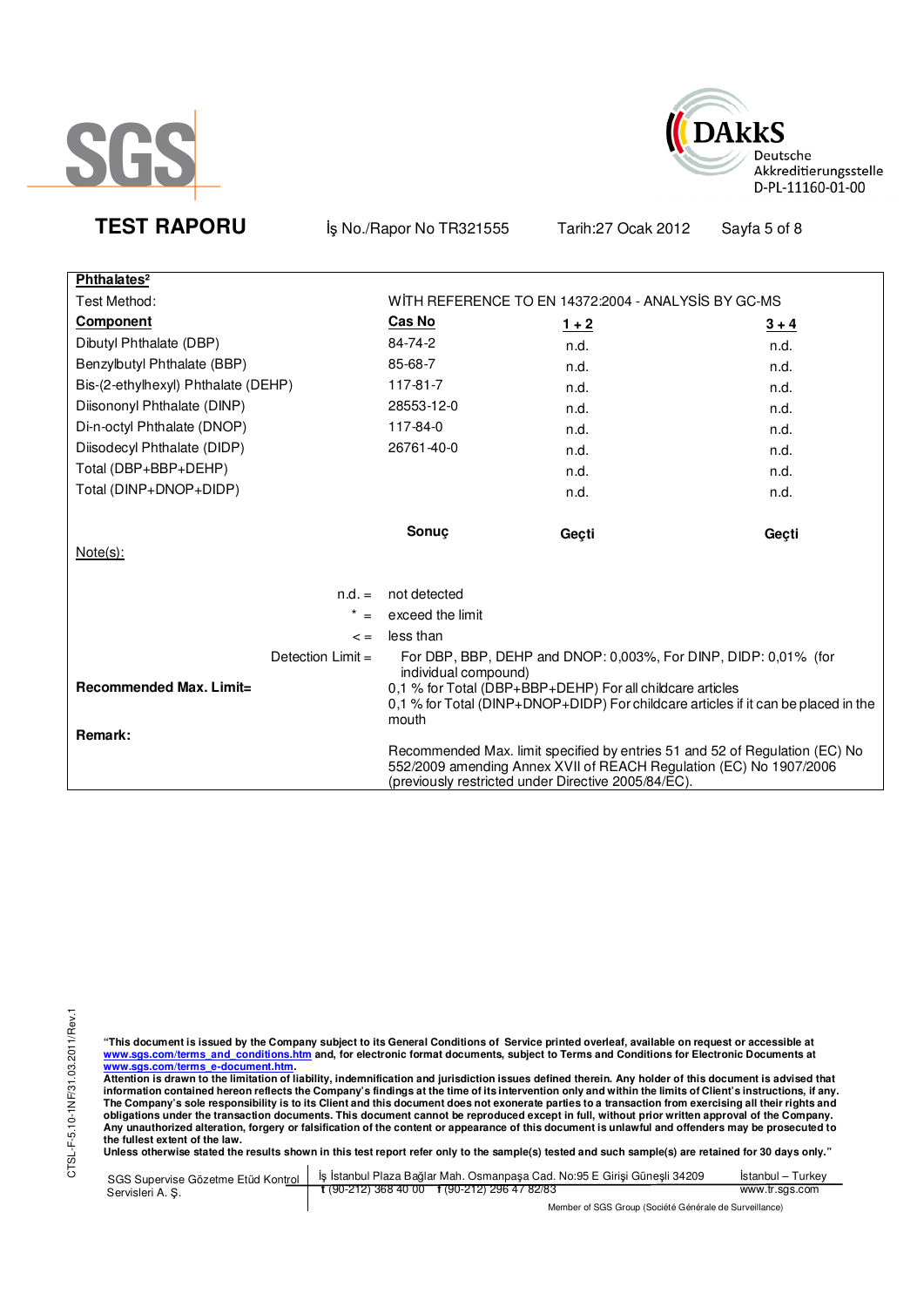



**Phthalates²** Test Method: The State Method: WITH REFERENCE TO EN 14372:2004 - ANALYSIS BY GC-MS **Component Cas No 1 + 2 3 + 4** Dibutyl Phthalate (DBP) 84-74-2 n.d. n.d. n.d. n.d. n.d. n.d. Benzylbutyl Phthalate (BBP) 85-68-7 n.d. n.d. n.d. Bis-(2-ethylhexyl) Phthalate (DEHP) 117-81-7 n.d. n.d. n.d. n.d. Diisononyl Phthalate (DINP) 28553-12-0 n.d. n.d. n.d. n.d. n.d. Di-n-octyl Phthalate (DNOP) 117-84-0 n.d. n.d. Diisodecyl Phthalate (DIDP) 26761-40-0 n.d. n.d. Total (DBP+BBP+DEHP) and the control of the control of the control of the control of the control of the control of the control of the control of the control of the control of the control of the control of the control of th Total (DINP+DNOP+DIDP) and the control of the control of the control of the control of the control of the control of the control of the control of the control of the control of the control of the control of the control of **Sonuç Geçti Geçti**  Note(s): n.d. = not detected  $* =$  exceed the limit  $\leq$  = less than Detection Limit = For DBP, BBP, DEHP and DNOP: 0,003%, For DINP, DIDP: 0,01% (for individual compound) **Recommended Max. Limit= Remark:**  0,1 % for Total (DBP+BBP+DEHP) For all childcare articles 0,1 % for Total (DINP+DNOP+DIDP) For childcare articles if it can be placed in the mouth Recommended Max. limit specified by entries 51 and 52 of Regulation (EC) No 552/2009 amending Annex XVII of REACH Regulation (EC) No 1907/2006 (previously restricted under Directive 2005/84/EC).

**TEST RAPORU** iş No./Rapor No TR321555 Tarih:27 Ocak 2012 Sayfa 5 of 8

**"This document is issued by the Company subject to its General Conditions of Service printed overleaf, available on request or accessible at www.sgs.com/terms\_and\_conditions.htm and, for electronic format documents, subject to Terms and Conditions for Electronic Documents at** 

<mark>www.sgs.com/terms\_e-document.htm.</mark><br>Attention is drawn to the limitation of liability, indemnification and jurisdiction issues defined therein. Any holder of this document is advised that information contained hereon reflects the Company's findings at the time of its intervention only and within the limits of Client's instructions, if any.<br>The Company's sole responsibility is to its Client and this document **obligations under the transaction documents. This document cannot be reproduced except in full, without prior written approval of the Company. Any unauthorized alteration, forgery or falsification of the content or appearance of this document is unlawful and offenders may be prosecuted to the fullest extent of the law.** 

|                 | SGS Supervise Gözetme Etüd Kontrol   İş İstanbul Plaza Bağlar Mah. Osmanpaşa Cad. No:95 E Girişi Güneşli 34209 | Istanbul – Turkev |  |
|-----------------|----------------------------------------------------------------------------------------------------------------|-------------------|--|
| Servisleri A.S. | t (90-212) 368 40 00 f (90-212) 296 47 82/83                                                                   | www.tr.sgs.com    |  |
|                 | Member of SGS Group (Société Générale de Surveillance)                                                         |                   |  |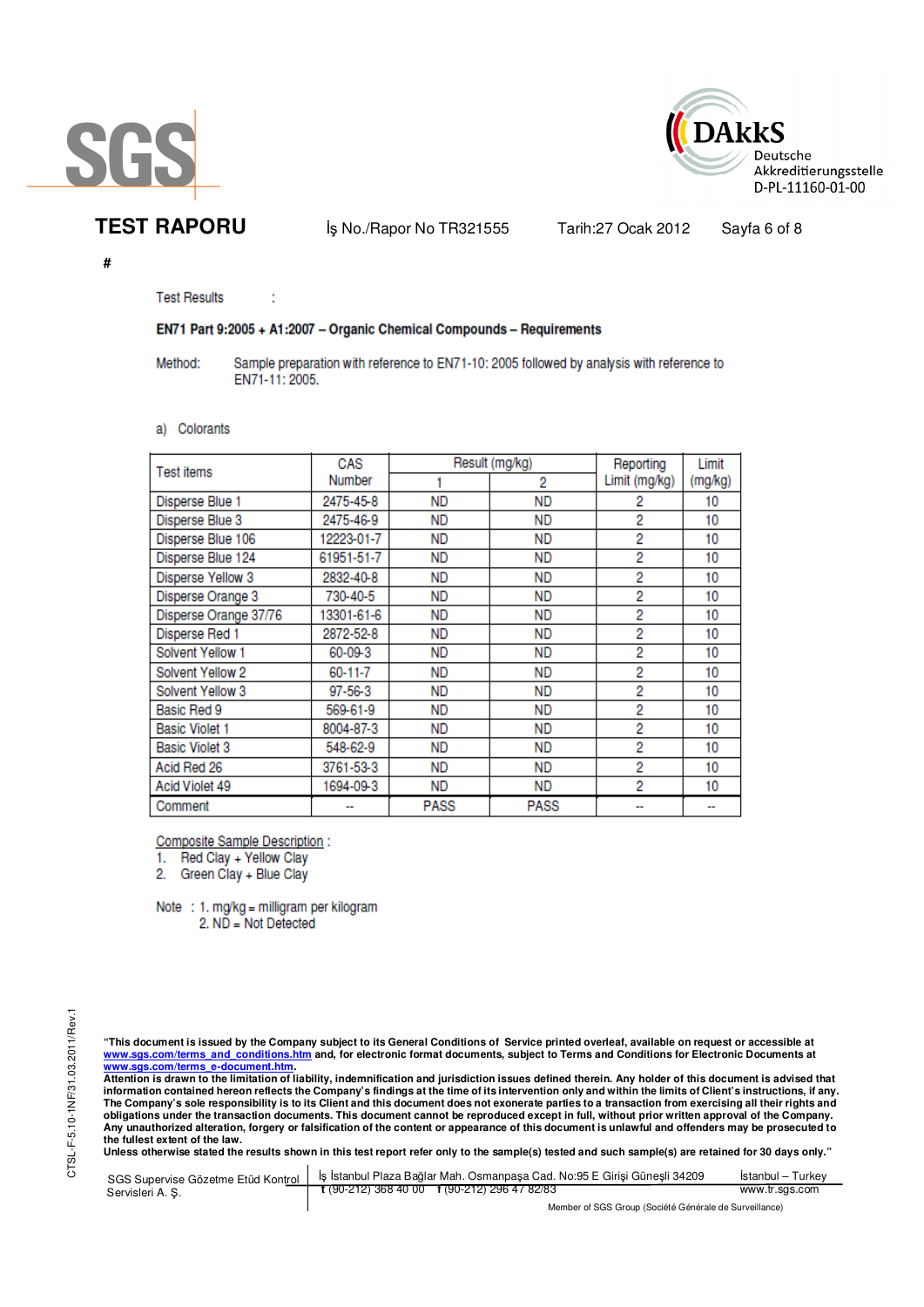



**TEST RAPORU** iş No./Rapor No TR321555 Tarih:27 Ocak 2012 Sayfa 6 of 8

**#** 

**Test Results** 

ł

### EN71 Part 9:2005 + A1:2007 - Organic Chemical Compounds - Requirements

Method: Sample preparation with reference to EN71-10: 2005 followed by analysis with reference to EN71-11: 2005.

a) Colorants

| Test items            | CAS           |             | Result (mg/kg) | Reporting     | Limit   |
|-----------------------|---------------|-------------|----------------|---------------|---------|
|                       | Number        |             | 2              | Limit (mg/kg) | (mg/kg) |
| Disperse Blue 1       | 2475-45-8     | <b>ND</b>   | ND             | 2             | 10      |
| Disperse Blue 3       | 2475-46-9     | <b>ND</b>   | <b>ND</b>      | 2             | 10      |
| Disperse Blue 106     | 12223-01-7    | <b>ND</b>   | ND             | 2             | 10      |
| Disperse Blue 124     | 61951-51-7    | <b>ND</b>   | ND             | 2             | 10      |
| Disperse Yellow 3     | 2832-40-8     | <b>ND</b>   | ND             | 2             | 10      |
| Disperse Orange 3     | 730-40-5      | <b>ND</b>   | ND             | 2             | 10      |
| Disperse Orange 37/76 | 13301-61-6    | <b>ND</b>   | ND             | 2             | 10      |
| Disperse Red 1        | 2872-52-8     | <b>ND</b>   | ND             | 2             | 10      |
| Solvent Yellow 1      | 60-09-3       | <b>ND</b>   | ND             | 2             | 10      |
| Solvent Yellow 2      | 60-11-7       | <b>ND</b>   | ND             | 2             | 10      |
| Solvent Yellow 3      | $97 - 56 - 3$ | <b>ND</b>   | <b>ND</b>      | 2             | 10      |
| Basic Red 9           | 569-61-9      | <b>ND</b>   | ND             | 2             | 10      |
| <b>Basic Violet 1</b> | 8004-87-3     | ND          | ND             | 2             | 10      |
| <b>Basic Violet 3</b> | 548-62-9      | ND          | ND             | 2             | 10      |
| Acid Red 26           | 3761-53-3     | <b>ND</b>   | ND             | 2             | 10      |
| Acid Violet 49        | 1694-09-3     | <b>ND</b>   | ND             | 2             | 10      |
| Comment               |               | <b>PASS</b> | <b>PASS</b>    |               |         |

**Composite Sample Description:** 

1. Red Clay + Yellow Clay

2. Green Clay + Blue Clay

Note : 1. mg/kg = milligram per kilogram 2. ND = Not Detected

"This document is issued by the Company subject to its General Conditions of Service printed overleaf, available on request or accessible at<br>www.sgs.com/terms\_and\_conditions.htm\_and, for electronic format documents, subjec <mark>www.sgs.com/terms\_e-document.htm.</mark><br>Attention is drawn to the limitation of liability, indemnification and jurisdiction issues defined therein. Any holder of this document is advised that

information contained hereon reflects the Company's findings at the time of its intervention only and within the limits of Client's instructions, if any.<br>The Company's sole responsibility is to its Client and this document **obligations under the transaction documents. This document cannot be reproduced except in full, without prior written approval of the Company. Any unauthorized alteration, forgery or falsification of the content or appearance of this document is unlawful and offenders may be prosecuted to the fullest extent of the law.** 

|                  | SGS Supervise Gözetme Etüd Kontrol   İş İstanbul Plaza Bağlar Mah. Osmanpaşa Cad. No:95 E Girisi Günesli 34209 | Istanbul – Turkev |  |  |
|------------------|----------------------------------------------------------------------------------------------------------------|-------------------|--|--|
| Servisleri A. S. | $\frac{1}{2}$ (90-212) 368 40 00 f (90-212) 296 47 82/83                                                       | www.tr.sgs.com    |  |  |
|                  | Member of SGS Group (Société Générale de Surveillance)                                                         |                   |  |  |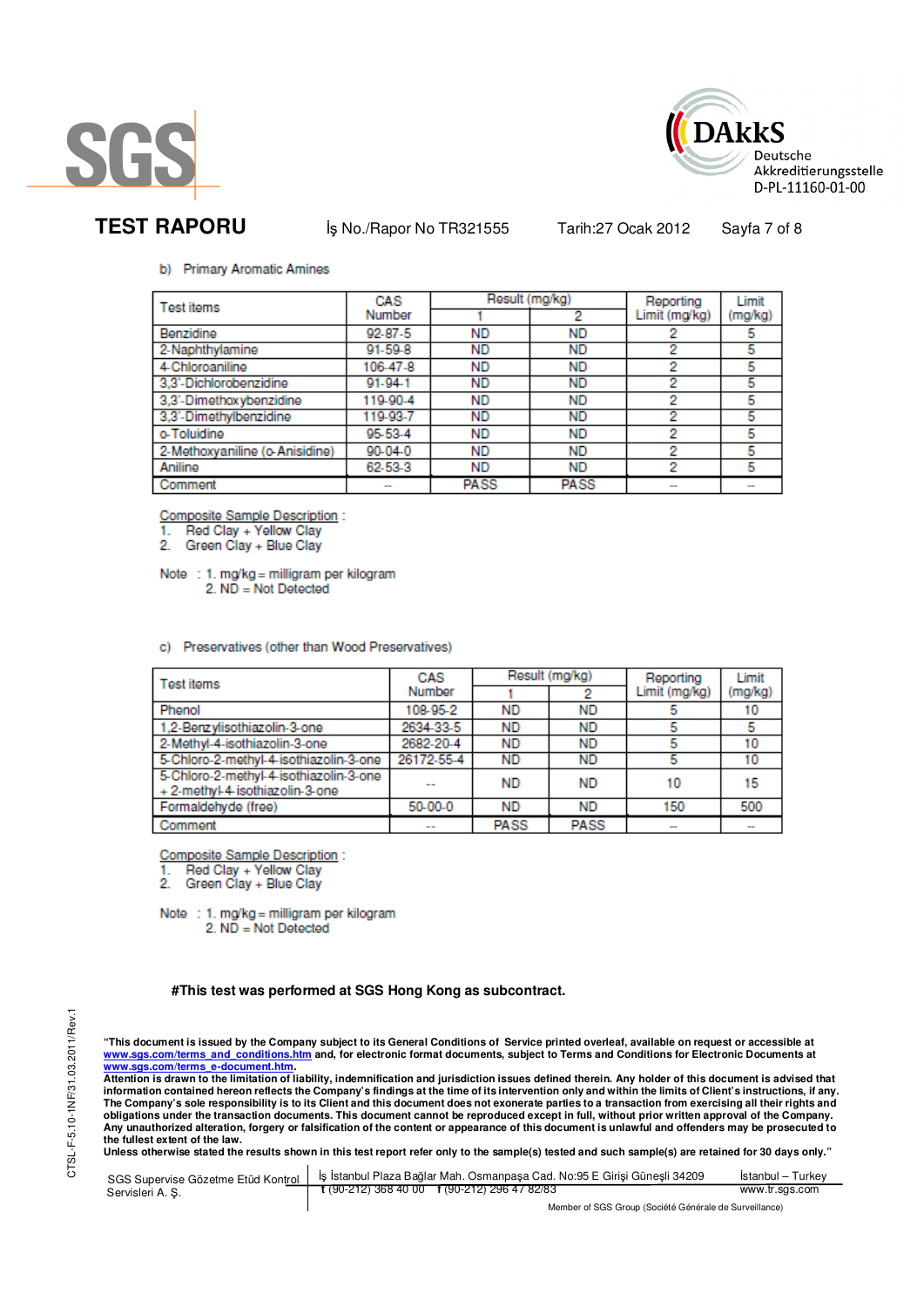



**TEST RAPORU** iş No./Rapor No TR321555 Tarih:27 Ocak 2012 Sayfa 7 of 8

### b) Primary Aromatic Amines

| Test items                     | CAS           | Result (mg/kg) |             | Reporting     | Limit   |
|--------------------------------|---------------|----------------|-------------|---------------|---------|
|                                | Number        |                | 2           | Limit (mg/kg) | (mg/kg) |
| Benzidine                      | $92 - 87 - 5$ | <b>ND</b>      | <b>ND</b>   |               | 5       |
| 2-Naphthylamine                | 91-59-8       | <b>ND</b>      | <b>ND</b>   | 2             | 5       |
| 4-Chloroaniline                | 106-47-8      | <b>ND</b>      | <b>ND</b>   | 2             | 5       |
| 3.3'-Dichlorobenzidine         | $91 - 94 - 1$ | ND             | <b>ND</b>   | 2             | 5       |
| 3,3'-Dimethoxybenzidine        | 119-90-4      | <b>ND</b>      | <b>ND</b>   | 2             | 5       |
| 3,3'-Dimethylbenzidine         | 119-93-7      | ND             | <b>ND</b>   | 2             | 5       |
| o-Toluidine                    | 95-53-4       | <b>ND</b>      | <b>ND</b>   | 2             | 5       |
| 2-Methoxyaniline (o-Anisidine) | $90 - 04 - 0$ | <b>ND</b>      | <b>ND</b>   | 2             | 5       |
| Aniline                        | 62-53-3       | ND             | <b>ND</b>   | 2             | 5       |
| Comment                        |               | <b>PASS</b>    | <b>PASS</b> |               | $\sim$  |

**Composite Sample Description:** 

Red Clay + Yellow Clay

2. Green Clay + Blue Clay

Note : 1. mg/kg = milligram per kilogram  $2. N\overline{D} = Not$  Detected

c) Preservatives (other than Wood Preservatives)

| <b>Test items</b>                                                         | CAS           | Result (mg/kg) |             | Reporting     | Limit   |
|---------------------------------------------------------------------------|---------------|----------------|-------------|---------------|---------|
|                                                                           | Number        |                |             | Limit (mg/kg) | (mg/kg) |
| Phenol                                                                    | 108-95-2      | <b>ND</b>      | <b>ND</b>   |               | 10      |
| 1,2-Benzylisothiazolin-3-one                                              | 2634-33-5     | <b>ND</b>      | <b>ND</b>   |               | 5       |
| 2-Methyl-4-isothiazolin-3-one                                             | 2682-20-4     | <b>ND</b>      | ND          | 5             | 10      |
| 5-Chloro-2-methyl-4-isothiazolin-3-one                                    | 26172-55-4    | <b>ND</b>      | <b>ND</b>   |               | 10      |
| 5-Chloro-2-methyl-4-isothiazolin-3-one<br>+ 2-methyl-4-isothiazolin-3-one |               | <b>ND</b>      | <b>ND</b>   | 10            | 15      |
| Formaldehyde (free)                                                       | 50-00-0       | <b>ND</b>      | <b>ND</b>   | 150           | 500     |
| Comment                                                                   | $\sim$ $\sim$ | <b>PASS</b>    | <b>PASS</b> | $\sim$        |         |

Composite Sample Description :

Red Clay + Yellow Clay<br>Green Clay + Blue Clay

2

Note : 1. mg/kg = milligram per kilogram 2. ND = Not Detected

#### **#This test was performed at SGS Hong Kong as subcontract.**

"This document is issued by the Company subject to its General Conditions of Service printed overleaf, available on request or accessible at<br>www.sgs.com/terms\_and\_conditions.htm\_and, for electronic format documents, subjec <mark>www.sgs.com/terms\_e-document.htm.</mark><br>Attention is drawn to the limitation of liability, indemnification and jurisdiction issues defined therein. Any holder of this document is advised that

information contained hereon reflects the Company's findings at the time of its intervention only and within the limits of Client's instructions, if any.<br>The Company's sole responsibility is to its Client and this document **obligations under the transaction documents. This document cannot be reproduced except in full, without prior written approval of the Company. Any unauthorized alteration, forgery or falsification of the content or appearance of this document is unlawful and offenders may be prosecuted to the fullest extent of the law.** 

| SGS Supervise Gözetme Etüd Kontrol | İs İstanbul Plaza Bağlar Mah. Osmanpasa Cad. No:95 E Girisi Günesli 34209 | Istanbul – Turkev |  |  |
|------------------------------------|---------------------------------------------------------------------------|-------------------|--|--|
| Servisleri A.S.                    | $\frac{1}{2}$ (90-212) 368 40 00 f (90-212) 296 47 82/83                  | www.tr.sgs.com    |  |  |
|                                    | Member of SGS Group (Société Générale de Surveillance)                    |                   |  |  |